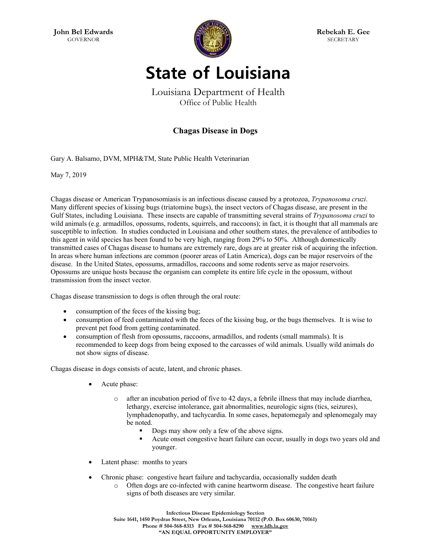

**Rebekah E. Gee SECRETARY** 

## **State of Louisiana**

Louisiana Department of Health Office of Public Health

## **Chagas Disease in Dogs**

Gary A. Balsamo, DVM, MPH&TM, State Public Health Veterinarian

May 7, 2019

Chagas disease or American Trypanosomiasis is an infectious disease caused by a protozoa, *Trypanosoma cruzi*. Many different species of kissing bugs (triatomine bugs), the insect vectors of Chagas disease, are present in the Gulf States, including Louisiana. These insects are capable of transmitting several strains of *Trypanosoma cruzi* to wild animals (e.g. armadillos, opossums, rodents, squirrels, and raccoons); in fact, it is thought that all mammals are susceptible to infection. In studies conducted in Louisiana and other southern states, the prevalence of antibodies to this agent in wild species has been found to be very high, ranging from 29% to 50%. Although domestically transmitted cases of Chagas disease to humans are extremely rare, dogs are at greater risk of acquiring the infection. In areas where human infections are common (poorer areas of Latin America), dogs can be major reservoirs of the disease. In the United States, opossums, armadillos, raccoons and some rodents serve as major reservoirs. Opossums are unique hosts because the organism can complete its entire life cycle in the opossum, without transmission from the insect vector.

Chagas disease transmission to dogs is often through the oral route:

- consumption of the feces of the kissing bug;
- consumption of feed contaminated with the feces of the kissing bug, or the bugs themselves. It is wise to prevent pet food from getting contaminated.
- consumption of flesh from opossums, raccoons, armadillos, and rodents (small mammals). It is recommended to keep dogs from being exposed to the carcasses of wild animals. Usually wild animals do not show signs of disease.

Chagas disease in dogs consists of acute, latent, and chronic phases.

- Acute phase:
	- after an incubation period of five to 42 days, a febrile illness that may include diarrhea, lethargy, exercise intolerance, gait abnormalities, neurologic signs (tics, seizures), lymphadenopathy, and tachycardia. In some cases, hepatomegaly and splenomegaly may be noted.
		- Dogs may show only a few of the above signs.
		- Acute onset congestive heart failure can occur, usually in dogs two years old and younger.
- Latent phase: months to years
- Chronic phase: congestive heart failure and tachycardia, occasionally sudden death
	- o Often dogs are co-infected with canine heartworm disease. The congestive heart failure signs of both diseases are very similar.

**Infectious Disease Epidemiology Section Suite 1641, 1450 Poydras Street, New Orleans, Louisiana 70112 (P.O. Box 60630, 70161) Phone # 504-568-8313 Fax # 504-568-8290 www.ldh.la.gov "AN EQUAL OPPORTUNITY EMPLOYER"**